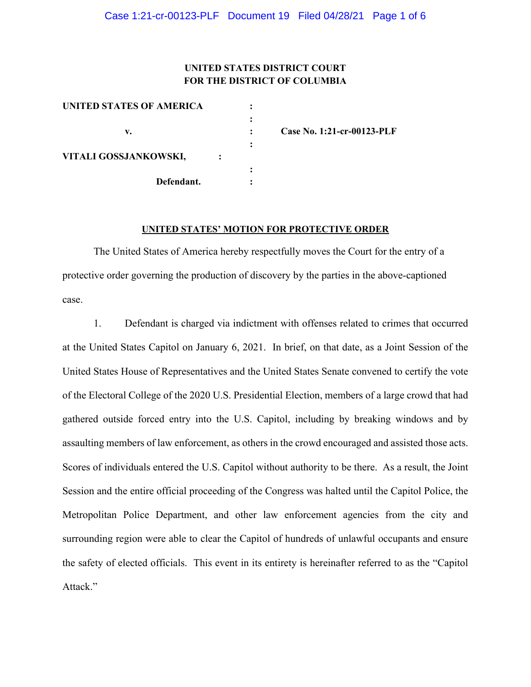# **UNITED STATES DISTRICT COURT FOR THE DISTRICT OF COLUMBIA**

| <b>UNITED STATES OF AMERICA</b> |  |  |
|---------------------------------|--|--|
|                                 |  |  |
| v.                              |  |  |
|                                 |  |  |
| VITALI GOSSJANKOWSKI,           |  |  |
|                                 |  |  |
| Defendant.                      |  |  |
|                                 |  |  |

**v. : Case No. 1:21-cr-00123-PLF**

### **UNITED STATES' MOTION FOR PROTECTIVE ORDER**

The United States of America hereby respectfully moves the Court for the entry of a protective order governing the production of discovery by the parties in the above-captioned case.

1. Defendant is charged via indictment with offenses related to crimes that occurred at the United States Capitol on January 6, 2021. In brief, on that date, as a Joint Session of the United States House of Representatives and the United States Senate convened to certify the vote of the Electoral College of the 2020 U.S. Presidential Election, members of a large crowd that had gathered outside forced entry into the U.S. Capitol, including by breaking windows and by assaulting members of law enforcement, as others in the crowd encouraged and assisted those acts. Scores of individuals entered the U.S. Capitol without authority to be there. As a result, the Joint Session and the entire official proceeding of the Congress was halted until the Capitol Police, the Metropolitan Police Department, and other law enforcement agencies from the city and surrounding region were able to clear the Capitol of hundreds of unlawful occupants and ensure the safety of elected officials. This event in its entirety is hereinafter referred to as the "Capitol Attack."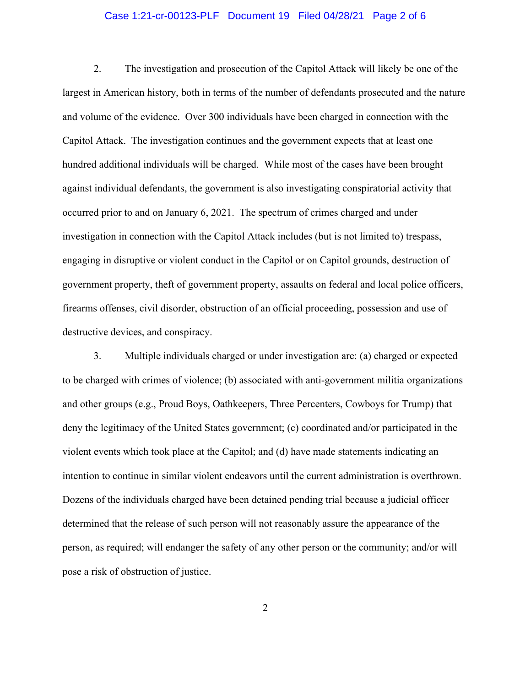# Case 1:21-cr-00123-PLF Document 19 Filed 04/28/21 Page 2 of 6

2. The investigation and prosecution of the Capitol Attack will likely be one of the largest in American history, both in terms of the number of defendants prosecuted and the nature and volume of the evidence. Over 300 individuals have been charged in connection with the Capitol Attack. The investigation continues and the government expects that at least one hundred additional individuals will be charged. While most of the cases have been brought against individual defendants, the government is also investigating conspiratorial activity that occurred prior to and on January 6, 2021. The spectrum of crimes charged and under investigation in connection with the Capitol Attack includes (but is not limited to) trespass, engaging in disruptive or violent conduct in the Capitol or on Capitol grounds, destruction of government property, theft of government property, assaults on federal and local police officers, firearms offenses, civil disorder, obstruction of an official proceeding, possession and use of destructive devices, and conspiracy.

3. Multiple individuals charged or under investigation are: (a) charged or expected to be charged with crimes of violence; (b) associated with anti-government militia organizations and other groups (e.g., Proud Boys, Oathkeepers, Three Percenters, Cowboys for Trump) that deny the legitimacy of the United States government; (c) coordinated and/or participated in the violent events which took place at the Capitol; and (d) have made statements indicating an intention to continue in similar violent endeavors until the current administration is overthrown. Dozens of the individuals charged have been detained pending trial because a judicial officer determined that the release of such person will not reasonably assure the appearance of the person, as required; will endanger the safety of any other person or the community; and/or will pose a risk of obstruction of justice.

2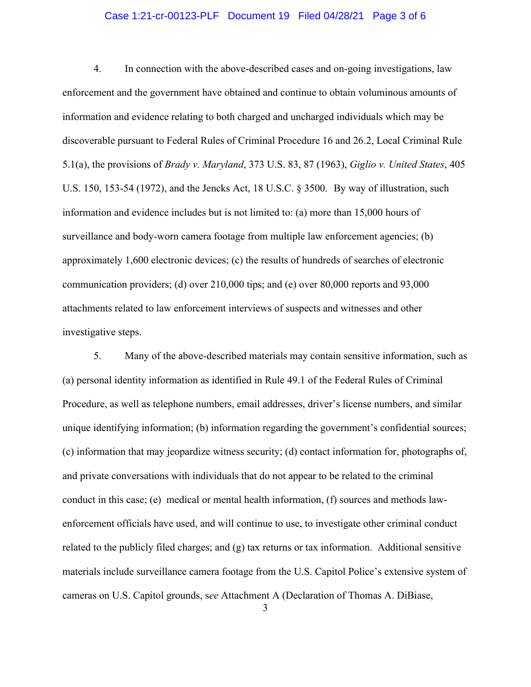# Case 1:21-cr-00123-PLF Document 19 Filed 04/28/21 Page 3 of 6

4. In connection with the above-described cases and on-going investigations, law enforcement and the government have obtained and continue to obtain voluminous amounts of information and evidence relating to both charged and uncharged individuals which may be discoverable pursuant to Federal Rules of Criminal Procedure 16 and 26.2, Local Criminal Rule 5.1(a), the provisions of *Brady v. Maryland*, 373 U.S. 83, 87 (1963), *Giglio v. United States*, 405 U.S. 150, 153-54 (1972), and the Jencks Act, 18 U.S.C. § 3500. By way of illustration, such information and evidence includes but is not limited to: (a) more than 15,000 hours of surveillance and body-worn camera footage from multiple law enforcement agencies; (b) approximately 1,600 electronic devices; (c) the results of hundreds of searches of electronic communication providers; (d) over 210,000 tips; and (e) over 80,000 reports and 93,000 attachments related to law enforcement interviews of suspects and witnesses and other investigative steps.

5. Many of the above-described materials may contain sensitive information, such as (a) personal identity information as identified in Rule 49.1 of the Federal Rules of Criminal Procedure, as well as telephone numbers, email addresses, driver's license numbers, and similar unique identifying information; (b) information regarding the government's confidential sources; (c) information that may jeopardize witness security; (d) contact information for, photographs of, and private conversations with individuals that do not appear to be related to the criminal conduct in this case; (e) medical or mental health information, (f) sources and methods lawenforcement officials have used, and will continue to use, to investigate other criminal conduct related to the publicly filed charges; and  $(g)$  tax returns or tax information. Additional sensitive materials include surveillance camera footage from the U.S. Capitol Police's extensive system of cameras on U.S. Capitol grounds, s*ee* Attachment A (Declaration of Thomas A. DiBiase,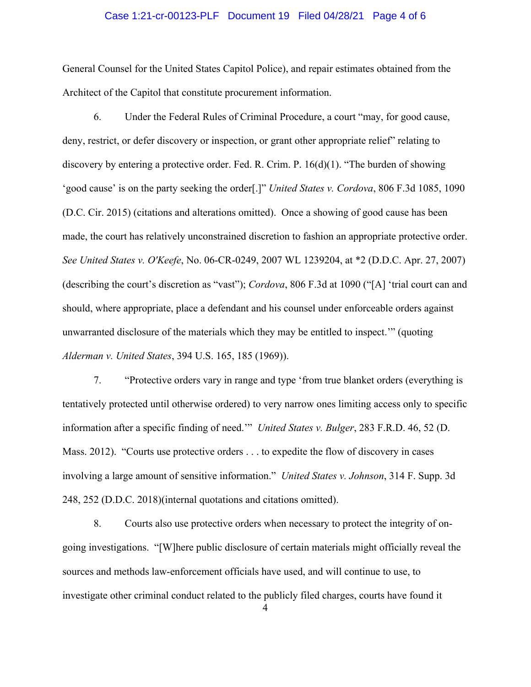# Case 1:21-cr-00123-PLF Document 19 Filed 04/28/21 Page 4 of 6

General Counsel for the United States Capitol Police), and repair estimates obtained from the Architect of the Capitol that constitute procurement information.

6. Under the Federal Rules of Criminal Procedure, a court "may, for good cause, deny, restrict, or defer discovery or inspection, or grant other appropriate relief" relating to discovery by entering a protective order. Fed. R. Crim. P. 16(d)(1). "The burden of showing 'good cause' is on the party seeking the order[.]" *United States v. Cordova*, 806 F.3d 1085, 1090 (D.C. Cir. 2015) (citations and alterations omitted). Once a showing of good cause has been made, the court has relatively unconstrained discretion to fashion an appropriate protective order. *See United States v. O'Keefe*, No. 06-CR-0249, 2007 WL 1239204, at \*2 (D.D.C. Apr. 27, 2007) (describing the court's discretion as "vast"); *Cordova*, 806 F.3d at 1090 ("[A] 'trial court can and should, where appropriate, place a defendant and his counsel under enforceable orders against unwarranted disclosure of the materials which they may be entitled to inspect.'" (quoting *Alderman v. United States*, 394 U.S. 165, 185 (1969)).

7. "Protective orders vary in range and type 'from true blanket orders (everything is tentatively protected until otherwise ordered) to very narrow ones limiting access only to specific information after a specific finding of need.'" *United States v. Bulger*, 283 F.R.D. 46, 52 (D. Mass. 2012). "Courts use protective orders . . . to expedite the flow of discovery in cases involving a large amount of sensitive information." *United States v. Johnson*, 314 F. Supp. 3d 248, 252 (D.D.C. 2018)(internal quotations and citations omitted).

8. Courts also use protective orders when necessary to protect the integrity of ongoing investigations. "[W]here public disclosure of certain materials might officially reveal the sources and methods law-enforcement officials have used, and will continue to use, to investigate other criminal conduct related to the publicly filed charges, courts have found it

4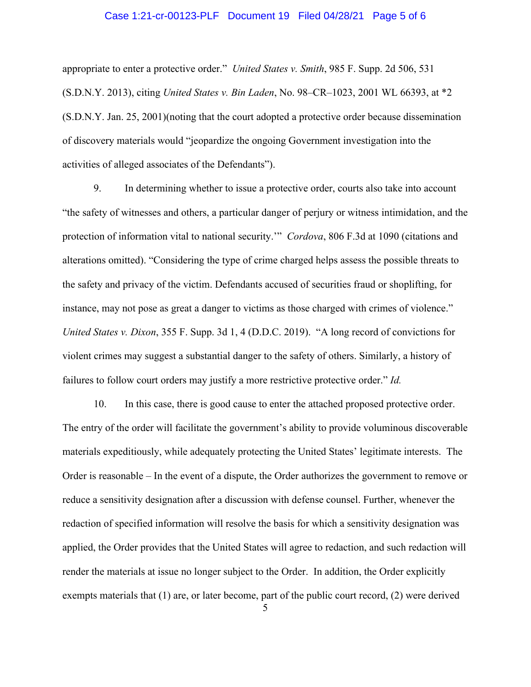# Case 1:21-cr-00123-PLF Document 19 Filed 04/28/21 Page 5 of 6

appropriate to enter a protective order." *United States v. Smith*, 985 F. Supp. 2d 506, 531 (S.D.N.Y. 2013), citing *United States v. Bin Laden*, No. 98–CR–1023, 2001 WL 66393, at \*2 (S.D.N.Y. Jan. 25, 2001)(noting that the court adopted a protective order because dissemination of discovery materials would "jeopardize the ongoing Government investigation into the activities of alleged associates of the Defendants").

9. In determining whether to issue a protective order, courts also take into account "the safety of witnesses and others, a particular danger of perjury or witness intimidation, and the protection of information vital to national security.'" *Cordova*, 806 F.3d at 1090 (citations and alterations omitted). "Considering the type of crime charged helps assess the possible threats to the safety and privacy of the victim. Defendants accused of securities fraud or shoplifting, for instance, may not pose as great a danger to victims as those charged with crimes of violence." *United States v. Dixon*, 355 F. Supp. 3d 1, 4 (D.D.C. 2019). "A long record of convictions for violent crimes may suggest a substantial danger to the safety of others. Similarly, a history of failures to follow court orders may justify a more restrictive protective order." *Id.*

10. In this case, there is good cause to enter the attached proposed protective order. The entry of the order will facilitate the government's ability to provide voluminous discoverable materials expeditiously, while adequately protecting the United States' legitimate interests. The Order is reasonable – In the event of a dispute, the Order authorizes the government to remove or reduce a sensitivity designation after a discussion with defense counsel. Further, whenever the redaction of specified information will resolve the basis for which a sensitivity designation was applied, the Order provides that the United States will agree to redaction, and such redaction will render the materials at issue no longer subject to the Order. In addition, the Order explicitly exempts materials that (1) are, or later become, part of the public court record, (2) were derived

5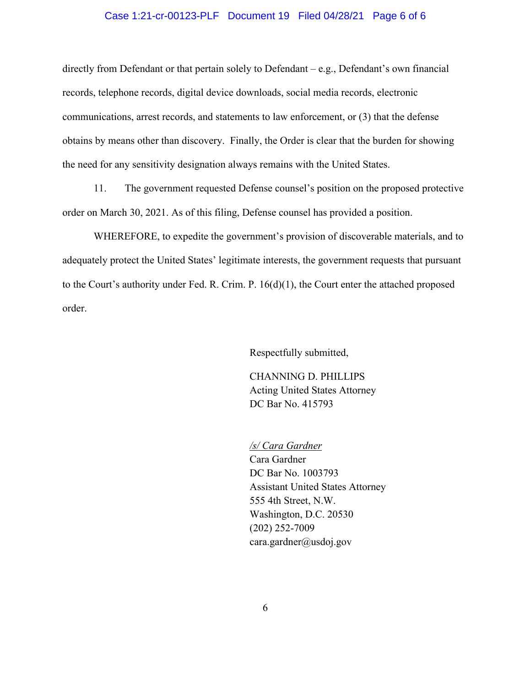# Case 1:21-cr-00123-PLF Document 19 Filed 04/28/21 Page 6 of 6

directly from Defendant or that pertain solely to Defendant – e.g., Defendant's own financial records, telephone records, digital device downloads, social media records, electronic communications, arrest records, and statements to law enforcement, or (3) that the defense obtains by means other than discovery. Finally, the Order is clear that the burden for showing the need for any sensitivity designation always remains with the United States.

11. The government requested Defense counsel's position on the proposed protective order on March 30, 2021. As of this filing, Defense counsel has provided a position.

WHEREFORE, to expedite the government's provision of discoverable materials, and to adequately protect the United States' legitimate interests, the government requests that pursuant to the Court's authority under Fed. R. Crim. P. 16(d)(1), the Court enter the attached proposed order.

Respectfully submitted,

CHANNING D. PHILLIPS Acting United States Attorney DC Bar No. 415793

*/s/ Cara Gardner*  Cara Gardner DC Bar No. 1003793 Assistant United States Attorney 555 4th Street, N.W. Washington, D.C. 20530 (202) 252-7009 cara.gardner@usdoj.gov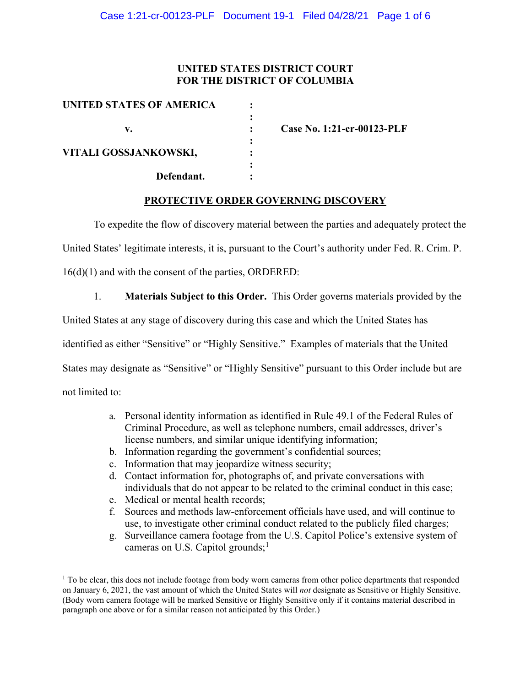# **UNITED STATES DISTRICT COURT FOR THE DISTRICT OF COLUMBIA**

| UNITED STATES OF AMERICA |                            |
|--------------------------|----------------------------|
| v.                       | Case No. 1:21-cr-00123-PLF |
| VITALI GOSSJANKOWSKI,    |                            |
| Defendant.               |                            |

# **PROTECTIVE ORDER GOVERNING DISCOVERY**

To expedite the flow of discovery material between the parties and adequately protect the

United States' legitimate interests, it is, pursuant to the Court's authority under Fed. R. Crim. P.

16(d)(1) and with the consent of the parties, ORDERED:

1. **Materials Subject to this Order.** This Order governs materials provided by the

United States at any stage of discovery during this case and which the United States has

identified as either "Sensitive" or "Highly Sensitive." Examples of materials that the United

States may designate as "Sensitive" or "Highly Sensitive" pursuant to this Order include but are

not limited to:

- a. Personal identity information as identified in Rule 49.1 of the Federal Rules of Criminal Procedure, as well as telephone numbers, email addresses, driver's license numbers, and similar unique identifying information;
- b. Information regarding the government's confidential sources;
- c. Information that may jeopardize witness security;
- d. Contact information for, photographs of, and private conversations with individuals that do not appear to be related to the criminal conduct in this case;
- e. Medical or mental health records;
- f. Sources and methods law-enforcement officials have used, and will continue to use, to investigate other criminal conduct related to the publicly filed charges;
- g. Surveillance camera footage from the U.S. Capitol Police's extensive system of cameras on U.S. Capitol grounds;<sup>1</sup>

 $1$  To be clear, this does not include footage from body worn cameras from other police departments that responded on January 6, 2021, the vast amount of which the United States will *not* designate as Sensitive or Highly Sensitive. (Body worn camera footage will be marked Sensitive or Highly Sensitive only if it contains material described in paragraph one above or for a similar reason not anticipated by this Order.)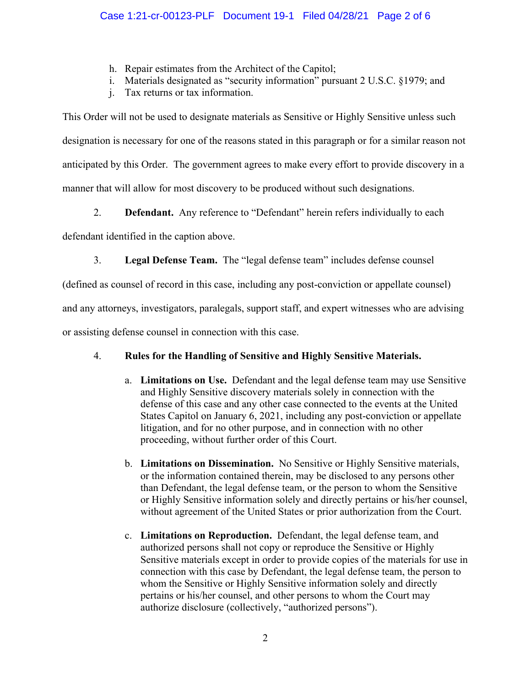- h. Repair estimates from the Architect of the Capitol;
- i. Materials designated as "security information" pursuant 2 U.S.C. §1979; and
- j. Tax returns or tax information.

This Order will not be used to designate materials as Sensitive or Highly Sensitive unless such designation is necessary for one of the reasons stated in this paragraph or for a similar reason not anticipated by this Order. The government agrees to make every effort to provide discovery in a manner that will allow for most discovery to be produced without such designations.

2. **Defendant.** Any reference to "Defendant" herein refers individually to each

defendant identified in the caption above.

3. **Legal Defense Team.** The "legal defense team" includes defense counsel

(defined as counsel of record in this case, including any post-conviction or appellate counsel)

and any attorneys, investigators, paralegals, support staff, and expert witnesses who are advising

or assisting defense counsel in connection with this case.

# 4. **Rules for the Handling of Sensitive and Highly Sensitive Materials.**

- a. **Limitations on Use.** Defendant and the legal defense team may use Sensitive and Highly Sensitive discovery materials solely in connection with the defense of this case and any other case connected to the events at the United States Capitol on January 6, 2021, including any post-conviction or appellate litigation, and for no other purpose, and in connection with no other proceeding, without further order of this Court.
- b. **Limitations on Dissemination.** No Sensitive or Highly Sensitive materials, or the information contained therein, may be disclosed to any persons other than Defendant, the legal defense team, or the person to whom the Sensitive or Highly Sensitive information solely and directly pertains or his/her counsel, without agreement of the United States or prior authorization from the Court.
- c. **Limitations on Reproduction.** Defendant, the legal defense team, and authorized persons shall not copy or reproduce the Sensitive or Highly Sensitive materials except in order to provide copies of the materials for use in connection with this case by Defendant, the legal defense team, the person to whom the Sensitive or Highly Sensitive information solely and directly pertains or his/her counsel, and other persons to whom the Court may authorize disclosure (collectively, "authorized persons").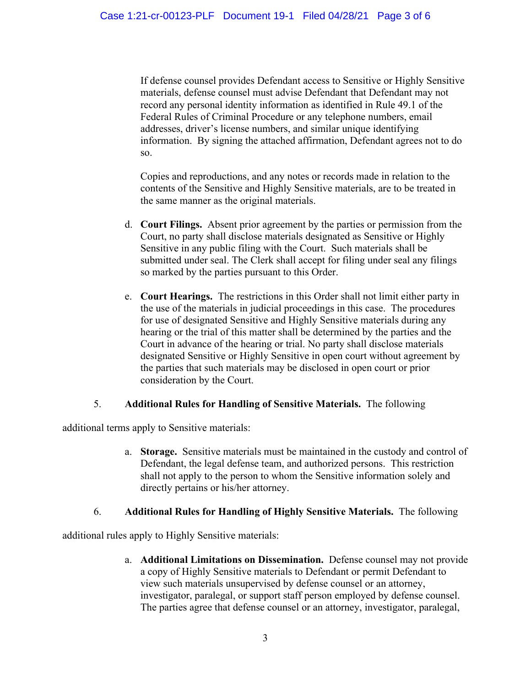If defense counsel provides Defendant access to Sensitive or Highly Sensitive materials, defense counsel must advise Defendant that Defendant may not record any personal identity information as identified in Rule 49.1 of the Federal Rules of Criminal Procedure or any telephone numbers, email addresses, driver's license numbers, and similar unique identifying information. By signing the attached affirmation, Defendant agrees not to do so.

Copies and reproductions, and any notes or records made in relation to the contents of the Sensitive and Highly Sensitive materials, are to be treated in the same manner as the original materials.

- d. **Court Filings.** Absent prior agreement by the parties or permission from the Court, no party shall disclose materials designated as Sensitive or Highly Sensitive in any public filing with the Court. Such materials shall be submitted under seal. The Clerk shall accept for filing under seal any filings so marked by the parties pursuant to this Order.
- e. **Court Hearings.** The restrictions in this Order shall not limit either party in the use of the materials in judicial proceedings in this case. The procedures for use of designated Sensitive and Highly Sensitive materials during any hearing or the trial of this matter shall be determined by the parties and the Court in advance of the hearing or trial. No party shall disclose materials designated Sensitive or Highly Sensitive in open court without agreement by the parties that such materials may be disclosed in open court or prior consideration by the Court.

# 5. **Additional Rules for Handling of Sensitive Materials.** The following

additional terms apply to Sensitive materials:

a. **Storage.** Sensitive materials must be maintained in the custody and control of Defendant, the legal defense team, and authorized persons. This restriction shall not apply to the person to whom the Sensitive information solely and directly pertains or his/her attorney.

# 6. **Additional Rules for Handling of Highly Sensitive Materials.** The following

additional rules apply to Highly Sensitive materials:

a. **Additional Limitations on Dissemination.** Defense counsel may not provide a copy of Highly Sensitive materials to Defendant or permit Defendant to view such materials unsupervised by defense counsel or an attorney, investigator, paralegal, or support staff person employed by defense counsel. The parties agree that defense counsel or an attorney, investigator, paralegal,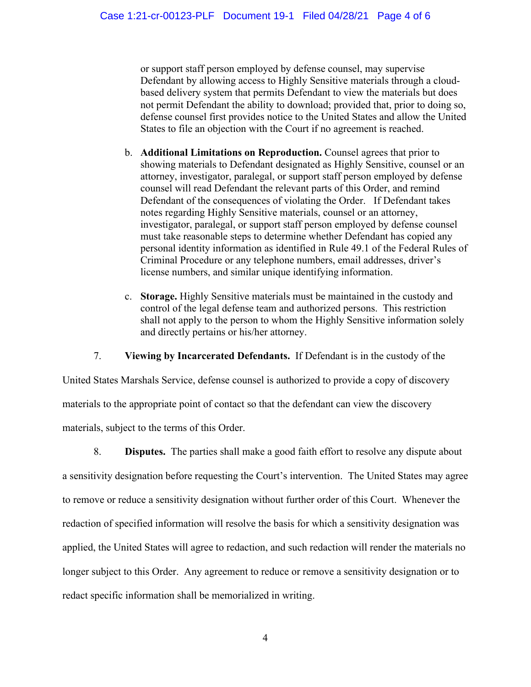or support staff person employed by defense counsel, may supervise Defendant by allowing access to Highly Sensitive materials through a cloudbased delivery system that permits Defendant to view the materials but does not permit Defendant the ability to download; provided that, prior to doing so, defense counsel first provides notice to the United States and allow the United States to file an objection with the Court if no agreement is reached.

- b. **Additional Limitations on Reproduction.** Counsel agrees that prior to showing materials to Defendant designated as Highly Sensitive, counsel or an attorney, investigator, paralegal, or support staff person employed by defense counsel will read Defendant the relevant parts of this Order, and remind Defendant of the consequences of violating the Order. If Defendant takes notes regarding Highly Sensitive materials, counsel or an attorney, investigator, paralegal, or support staff person employed by defense counsel must take reasonable steps to determine whether Defendant has copied any personal identity information as identified in Rule 49.1 of the Federal Rules of Criminal Procedure or any telephone numbers, email addresses, driver's license numbers, and similar unique identifying information.
- c. **Storage.** Highly Sensitive materials must be maintained in the custody and control of the legal defense team and authorized persons. This restriction shall not apply to the person to whom the Highly Sensitive information solely and directly pertains or his/her attorney.

7. **Viewing by Incarcerated Defendants.** If Defendant is in the custody of the

United States Marshals Service, defense counsel is authorized to provide a copy of discovery materials to the appropriate point of contact so that the defendant can view the discovery materials, subject to the terms of this Order.

8. **Disputes.** The parties shall make a good faith effort to resolve any dispute about a sensitivity designation before requesting the Court's intervention. The United States may agree to remove or reduce a sensitivity designation without further order of this Court. Whenever the redaction of specified information will resolve the basis for which a sensitivity designation was applied, the United States will agree to redaction, and such redaction will render the materials no longer subject to this Order. Any agreement to reduce or remove a sensitivity designation or to redact specific information shall be memorialized in writing.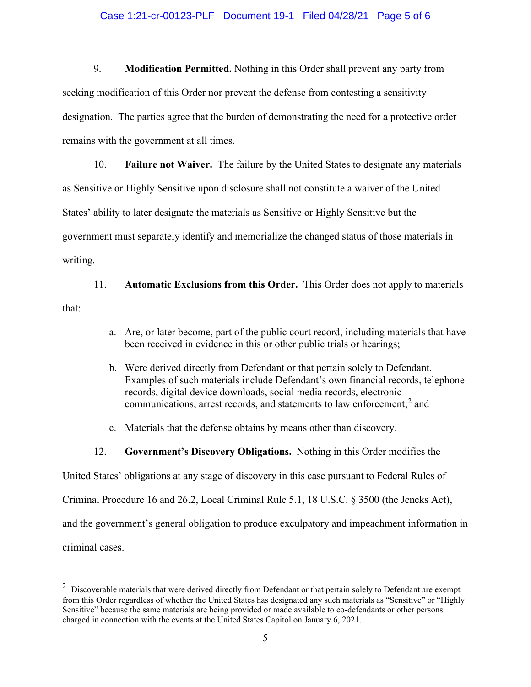# Case 1:21-cr-00123-PLF Document 19-1 Filed 04/28/21 Page 5 of 6

9. **Modification Permitted.** Nothing in this Order shall prevent any party from seeking modification of this Order nor prevent the defense from contesting a sensitivity designation. The parties agree that the burden of demonstrating the need for a protective order remains with the government at all times.

10. **Failure not Waiver.** The failure by the United States to designate any materials as Sensitive or Highly Sensitive upon disclosure shall not constitute a waiver of the United States' ability to later designate the materials as Sensitive or Highly Sensitive but the government must separately identify and memorialize the changed status of those materials in writing.

11. **Automatic Exclusions from this Order.** This Order does not apply to materials that:

- a. Are, or later become, part of the public court record, including materials that have been received in evidence in this or other public trials or hearings;
- b. Were derived directly from Defendant or that pertain solely to Defendant. Examples of such materials include Defendant's own financial records, telephone records, digital device downloads, social media records, electronic communications, arrest records, and statements to law enforcement; <sup>2</sup> and
- c. Materials that the defense obtains by means other than discovery.
- 12. **Government's Discovery Obligations.** Nothing in this Order modifies the

United States' obligations at any stage of discovery in this case pursuant to Federal Rules of

Criminal Procedure 16 and 26.2, Local Criminal Rule 5.1, 18 U.S.C. § 3500 (the Jencks Act),

and the government's general obligation to produce exculpatory and impeachment information in

criminal cases.

 $2$  Discoverable materials that were derived directly from Defendant or that pertain solely to Defendant are exempt from this Order regardless of whether the United States has designated any such materials as "Sensitive" or "Highly Sensitive" because the same materials are being provided or made available to co-defendants or other persons charged in connection with the events at the United States Capitol on January 6, 2021.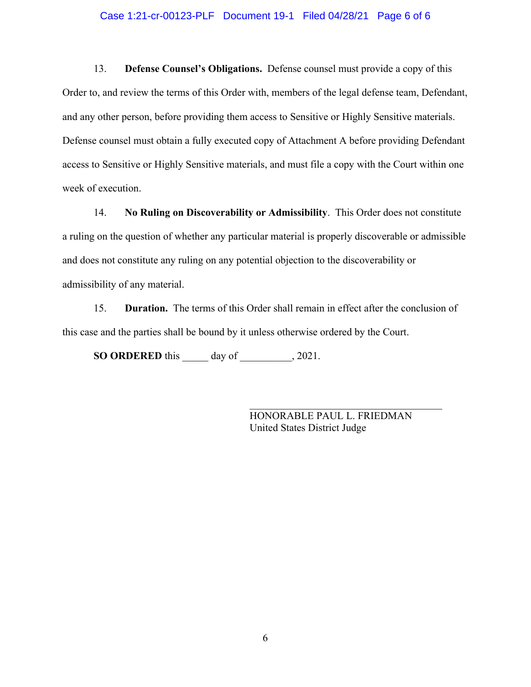# Case 1:21-cr-00123-PLF Document 19-1 Filed 04/28/21 Page 6 of 6

13. **Defense Counsel's Obligations.** Defense counsel must provide a copy of this Order to, and review the terms of this Order with, members of the legal defense team, Defendant, and any other person, before providing them access to Sensitive or Highly Sensitive materials. Defense counsel must obtain a fully executed copy of Attachment A before providing Defendant access to Sensitive or Highly Sensitive materials, and must file a copy with the Court within one week of execution.

14. **No Ruling on Discoverability or Admissibility**. This Order does not constitute a ruling on the question of whether any particular material is properly discoverable or admissible and does not constitute any ruling on any potential objection to the discoverability or admissibility of any material.

15. **Duration.** The terms of this Order shall remain in effect after the conclusion of this case and the parties shall be bound by it unless otherwise ordered by the Court.

**SO ORDERED** this \_\_\_\_\_ day of \_\_\_\_\_\_\_\_\_\_, 2021.

HONORABLE PAUL L. FRIEDMAN United States District Judge

\_\_\_\_\_\_\_\_\_\_\_\_\_\_\_\_\_\_\_\_\_\_\_\_\_\_\_\_\_\_\_\_\_\_\_\_\_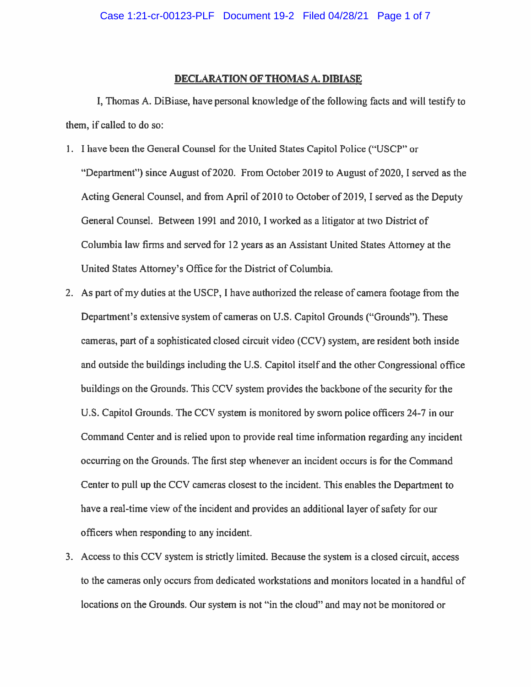# **DECLARATION OF THOMAS A. DIBIASE**

I, Thomas A. DiBiase, have personal knowledge of the following facts and will testify to them, if called to do so:

- 1. I have been the General Counsel for the United States Capitol Police ("USCP" or "Department") since August of 2020. From October 2019 to August of 2020, I served as the Acting General Counsel, and from April of 2010 to October of 2019, I served as the Deputy General Counsel. Between 1991 and 2010, I worked as a litigator at two District of Columbia law firms and served for 12 years as an Assistant United States Attorney at the United States Attorney's Office for the District of Columbia.
- 2. As part of my duties at the USCP, I have authorized the release of camera footage from the Department's extensive system of cameras on U.S. Capitol Grounds ("Grounds"). These cameras, part of a sophisticated closed circuit video (CCV) system, are resident both inside and outside the buildings including the U.S. Capitol itself and the other Congressional office buildings on the Grounds. This CCV system provides the backbone of the security for the U.S. Capitol Grounds. The CCV system is monitored by sworn police officers 24-7 in our Command Center and is relied upon to provide real time information regarding any incident occurring on the Grounds. The first step whenever an incident occurs is for the Command Center to pull up the CCV cameras closest to the incident. This enables the Department to have a real-time view of the incident and provides an additional layer of safety for our officers when responding to any incident.
- 3. Access to this CCV system is strictly limited. Because the system is a closed circuit, access to the cameras only occurs from dedicated workstations and monitors located in a handful of locations on the Grounds. Our system is not "in the cloud" and may not be monitored or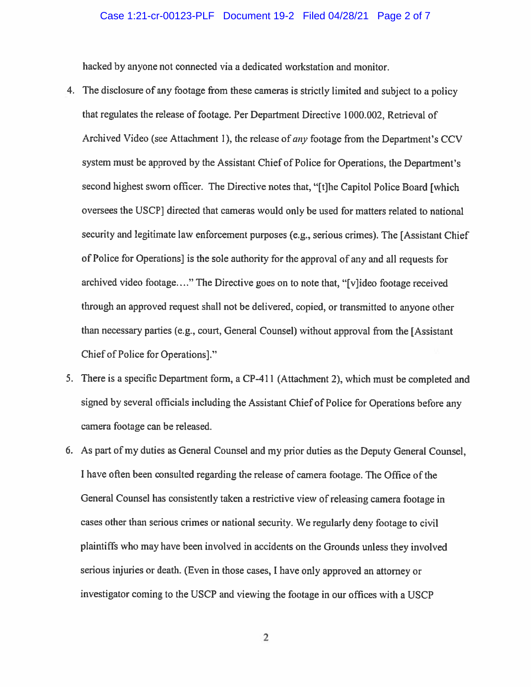# Case 1:21-cr-00123-PLF Document 19-2 Filed 04/28/21 Page 2 of 7

hacked by anyone not connected via a dedicated workstation and monitor.

- 4. The disclosure of any footage from these cameras is strictly limited and subject to a policy that regulates the release of footage. Per Department Directive 1000.002, Retrieval of Archived Video (see Attachment 1), the release of any footage from the Department's CCV system must be approved by the Assistant Chief of Police for Operations, the Department's second highest sworn officer. The Directive notes that, "[t]he Capitol Police Board [which oversees the USCP] directed that cameras would only be used for matters related to national security and legitimate law enforcement purposes (e.g., serious crimes). The [Assistant Chief of Police for Operations] is the sole authority for the approval of any and all requests for archived video footage...." The Directive goes on to note that, "[v] ideo footage received through an approved request shall not be delivered, copied, or transmitted to anyone other than necessary parties (e.g., court, General Counsel) without approval from the [Assistant] Chief of Police for Operations]."
- 5. There is a specific Department form, a CP-411 (Attachment 2), which must be completed and signed by several officials including the Assistant Chief of Police for Operations before any camera footage can be released.
- 6. As part of my duties as General Counsel and my prior duties as the Deputy General Counsel, I have often been consulted regarding the release of camera footage. The Office of the General Counsel has consistently taken a restrictive view of releasing camera footage in cases other than serious crimes or national security. We regularly deny footage to civil plaintiffs who may have been involved in accidents on the Grounds unless they involved serious injuries or death. (Even in those cases, I have only approved an attorney or investigator coming to the USCP and viewing the footage in our offices with a USCP

 $\overline{\mathbf{c}}$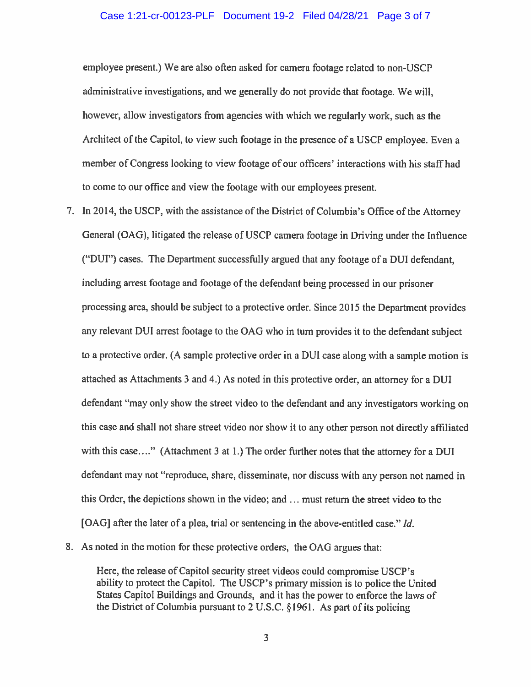# Case 1:21-cr-00123-PLF Document 19-2 Filed 04/28/21 Page 3 of 7

employee present.) We are also often asked for camera footage related to non-USCP administrative investigations, and we generally do not provide that footage. We will, however, allow investigators from agencies with which we regularly work, such as the Architect of the Capitol, to view such footage in the presence of a USCP employee. Even a member of Congress looking to view footage of our officers' interactions with his staff had to come to our office and view the footage with our employees present.

- 7. In 2014, the USCP, with the assistance of the District of Columbia's Office of the Attorney General (OAG), litigated the release of USCP camera footage in Driving under the Influence ("DUI") cases. The Department successfully argued that any footage of a DUI defendant, including arrest footage and footage of the defendant being processed in our prisoner processing area, should be subject to a protective order. Since 2015 the Department provides any relevant DUI arrest footage to the OAG who in turn provides it to the defendant subject to a protective order. (A sample protective order in a DUI case along with a sample motion is attached as Attachments 3 and 4.) As noted in this protective order, an attorney for a DUI defendant "may only show the street video to the defendant and any investigators working on this case and shall not share street video nor show it to any other person not directly affiliated with this case...." (Attachment 3 at 1.) The order further notes that the attorney for a DUI defendant may not "reproduce, share, disseminate, nor discuss with any person not named in this Order, the depictions shown in the video; and ... must return the street video to the [OAG] after the later of a plea, trial or sentencing in the above-entitled case." Id.
- 8. As noted in the motion for these protective orders, the OAG argues that:

Here, the release of Capitol security street videos could compromise USCP's ability to protect the Capitol. The USCP's primary mission is to police the United States Capitol Buildings and Grounds, and it has the power to enforce the laws of the District of Columbia pursuant to 2 U.S.C. §1961. As part of its policing

 $\overline{3}$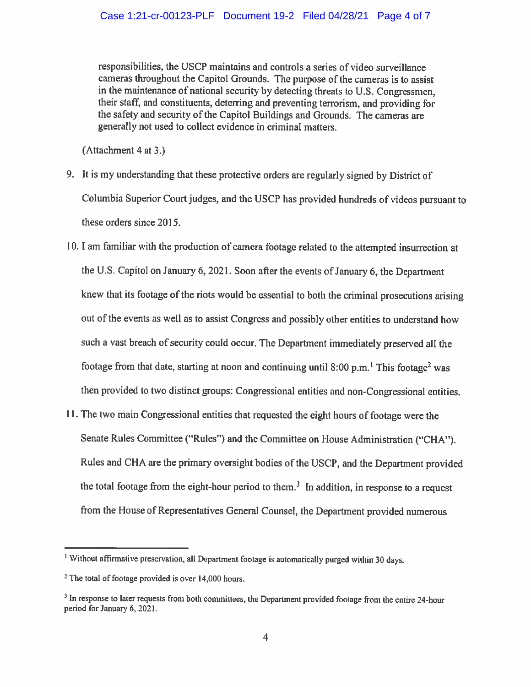responsibilities, the USCP maintains and controls a series of video surveillance cameras throughout the Capitol Grounds. The purpose of the cameras is to assist in the maintenance of national security by detecting threats to U.S. Congressmen. their staff, and constituents, deterring and preventing terrorism, and providing for the safety and security of the Capitol Buildings and Grounds. The cameras are generally not used to collect evidence in criminal matters.

(Attachment 4 at 3.)

- 9. It is my understanding that these protective orders are regularly signed by District of Columbia Superior Court judges, and the USCP has provided hundreds of videos pursuant to these orders since 2015.
- 10. I am familiar with the production of camera footage related to the attempted insurrection at the U.S. Capitol on January 6, 2021. Soon after the events of January 6, the Department knew that its footage of the riots would be essential to both the criminal prosecutions arising out of the events as well as to assist Congress and possibly other entities to understand how such a vast breach of security could occur. The Department immediately preserved all the footage from that date, starting at noon and continuing until 8:00 p.m.<sup>1</sup> This footage<sup>2</sup> was then provided to two distinct groups: Congressional entities and non-Congressional entities.
- 11. The two main Congressional entities that requested the eight hours of footage were the Senate Rules Committee ("Rules") and the Committee on House Administration ("CHA"). Rules and CHA are the primary oversight bodies of the USCP, and the Department provided the total footage from the eight-hour period to them.<sup>3</sup> In addition, in response to a request from the House of Representatives General Counsel, the Department provided numerous

<sup>&</sup>lt;sup>1</sup> Without affirmative preservation, all Department footage is automatically purged within 30 days.

<sup>&</sup>lt;sup>2</sup> The total of footage provided is over 14,000 hours.

<sup>&</sup>lt;sup>3</sup> In response to later requests from both committees, the Department provided footage from the entire 24-hour period for January 6, 2021.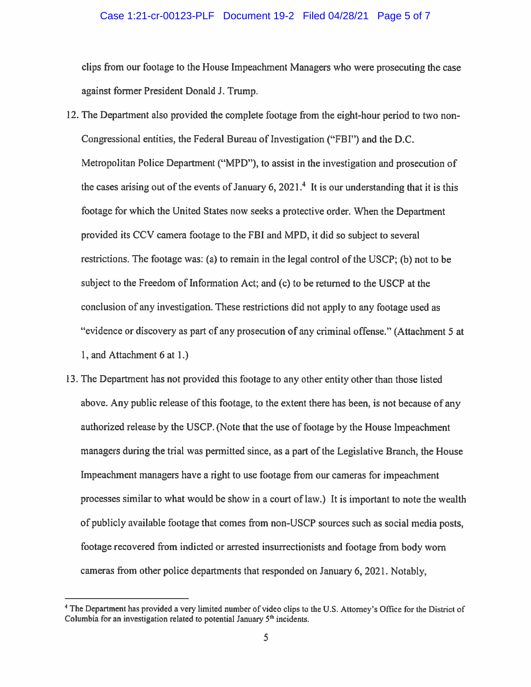# Case 1:21-cr-00123-PLF Document 19-2 Filed 04/28/21 Page 5 of 7

clips from our footage to the House Impeachment Managers who were prosecuting the case against former President Donald J. Trump.

- 12. The Department also provided the complete footage from the eight-hour period to two non-Congressional entities, the Federal Bureau of Investigation ("FBI") and the D.C. Metropolitan Police Department ("MPD"), to assist in the investigation and prosecution of the cases arising out of the events of January 6,  $2021<sup>4</sup>$ . It is our understanding that it is this footage for which the United States now seeks a protective order. When the Department provided its CCV camera footage to the FBI and MPD, it did so subject to several restrictions. The footage was: (a) to remain in the legal control of the USCP; (b) not to be subject to the Freedom of Information Act; and (c) to be returned to the USCP at the conclusion of any investigation. These restrictions did not apply to any footage used as "evidence or discovery as part of any prosecution of any criminal offense." (Attachment 5 at 1, and Attachment 6 at 1.
- 13. The Department has not provided this footage to any other entity other than those listed above. Any public release of this footage, to the extent there has been, is not because of any authorized release by the USCP. (Note that the use of footage by the House Impeachment managers during the trial was permitted since, as a part of the Legislative Branch, the House Impeachment managers have a right to use footage from our cameras for impeachment processes similar to what would be show in a court of law.) It is important to note the wealth of publicly available footage that comes from non-USCP sources such as social media posts, footage recovered from indicted or arrested insurrectionists and footage from body worn cameras from other police departments that responded on January 6, 2021. Notably,

<sup>&</sup>lt;sup>4</sup> The Department has provided a very limited number of video clips to the U.S. Attorney's Office for the District of Columbia for an investigation related to potential January 5<sup>th</sup> incidents.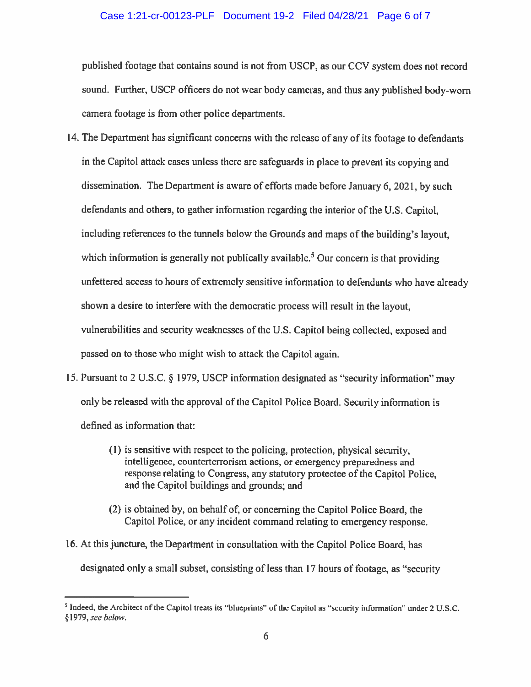# Case 1:21-cr-00123-PLF Document 19-2 Filed 04/28/21 Page 6 of 7

published footage that contains sound is not from USCP, as our CCV system does not record sound. Further, USCP officers do not wear body cameras, and thus any published body-worn camera footage is from other police departments.

- 14. The Department has significant concerns with the release of any of its footage to defendants in the Capitol attack cases unless there are safeguards in place to prevent its copying and dissemination. The Department is aware of efforts made before January 6, 2021, by such defendants and others, to gather information regarding the interior of the U.S. Capitol, including references to the tunnels below the Grounds and maps of the building's layout. which information is generally not publically available.<sup>5</sup> Our concern is that providing unfettered access to hours of extremely sensitive information to defendants who have already shown a desire to interfere with the democratic process will result in the layout, vulnerabilities and security weaknesses of the U.S. Capitol being collected, exposed and passed on to those who might wish to attack the Capitol again.
- 15. Pursuant to 2 U.S.C. § 1979, USCP information designated as "security information" may only be released with the approval of the Capitol Police Board. Security information is defined as information that:
	- (1) is sensitive with respect to the policing, protection, physical security, intelligence, counterterrorism actions, or emergency preparedness and response relating to Congress, any statutory protectee of the Capitol Police, and the Capitol buildings and grounds; and
	- (2) is obtained by, on behalf of, or concerning the Capitol Police Board, the Capitol Police, or any incident command relating to emergency response.
- 16. At this juncture, the Department in consultation with the Capitol Police Board, has designated only a small subset, consisting of less than 17 hours of footage, as "security"

<sup>&</sup>lt;sup>5</sup> Indeed, the Architect of the Capitol treats its "blueprints" of the Capitol as "security information" under 2 U.S.C. §1979, see below.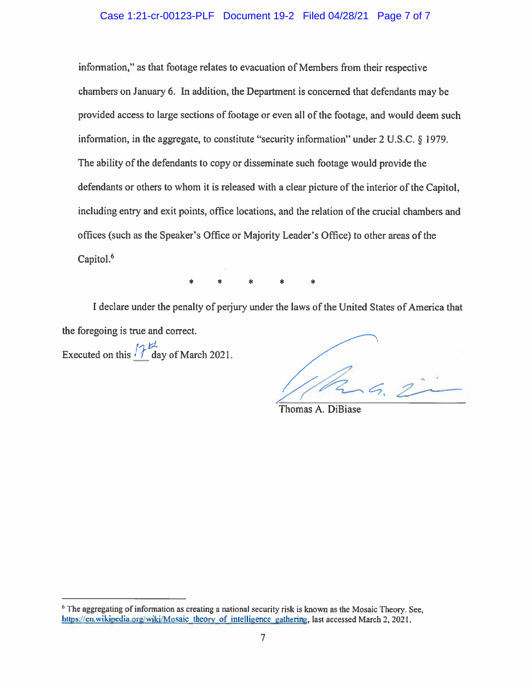# Case 1:21-cr-00123-PLF Document 19-2 Filed 04/28/21 Page 7 of 7

information," as that footage relates to evacuation of Members from their respective chambers on January 6. In addition, the Department is concerned that defendants may be provided access to large sections of footage or even all of the footage, and would deem such information, in the aggregate, to constitute "security information" under 2 U.S.C. § 1979. The ability of the defendants to copy or disseminate such footage would provide the defendants or others to whom it is released with a clear picture of the interior of the Capitol, including entry and exit points, office locations, and the relation of the crucial chambers and offices (such as the Speaker's Office or Majority Leader's Office) to other areas of the Capitol.<sup>6</sup>

I declare under the penalty of perjury under the laws of the United States of America that the foregoing is true and correct. Executed on this  $\frac{17}{16}$  day of March 2021.

Thomas A. DiBiase

 $\delta$  The aggregating of information as creating a national security risk is known as the Mosaic Theory. See, https://en.wikipedia.org/wiki/Mosaic\_theory\_of\_intelligence\_gathering, last accessed March 2, 2021.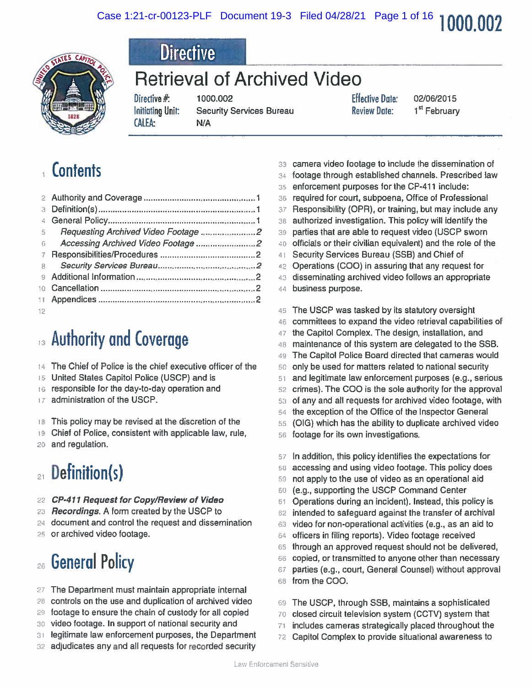

# **Directive**

Directive # **Initiating Unit: CALEA:** 

1000.002 **Security Services Bureau**  $N/A$ 

**Retrieval of Archived Video** 

**Effective Date: Review Date:** 

02/06/2015 1<sup>st</sup> February

# **Contents**

| 3              |  |
|----------------|--|
| $\overline{4}$ |  |
| 5              |  |
| 6              |  |
| $\mathcal T$   |  |
| 8              |  |
| $\mathbb Q$    |  |
|                |  |
|                |  |
| 19             |  |

# **Authority and Coverage**  $13<sup>°</sup>$

- The Chief of Police is the chief executive officer of the  $14$
- United States Capitol Police (USCP) and is 15
- responsible for the day-to-day operation and 16
- administration of the USCP. 17

This policy may be revised at the discretion of the 18

Chief of Police, consistent with applicable law, rule, 19

and regulation. 20

# Definition(s)  $\overline{21}$

- **CP-411 Request for Copy/Review of Video**  $22\,$
- Recordings. A form created by the USCP to 23
- document and control the request and dissemination 24
- or archived video footage. 25

# **General Policy** 26

- 27 The Department must maintain appropriate internal
- 28 controls on the use and duplication of archived video
- footage to ensure the chain of custody for all copied 29
- video footage. In support of national security and 30
- legitimate law enforcement purposes, the Department  $31$
- adjudicates any and all requests for recorded security 32
- 33 camera video footage to include the dissemination of footage through established channels. Prescribed law 34 enforcement purposes for the CP-411 include: 35
- required for court, subpoena, Office of Professional 36 Responsibility (OPR), or training, but may include any
- 37 authorized investigation. This policy will identify the 38
- parties that are able to request video (USCP sworn 39
- officials or their civilian equivalent) and the role of the 40
- Security Services Bureau (SSB) and Chief of 41
- 42 Operations (COO) in assuring that any request for
- disseminating archived video follows an appropriate 43
- 44 business purpose.
- The USCP was tasked by its statutory oversight 45
- committees to expand the video retrieval capabilities of 46
- the Capitol Complex. The design, installation, and 47
- maintenance of this system are delegated to the SSB. 48
- The Capitol Police Board directed that cameras would 49
- only be used for matters related to national security 50
- and legitimate law enforcement purposes (e.g., serious 51
- crimes). The COO is the sole authority for the approval 52
- of any and all requests for archived video footage, with 53
- the exception of the Office of the Inspector General 54
- (OIG) which has the ability to duplicate archived video 55
- footage for its own investigations. 56
- In addition, this policy identifies the expectations for 57
- accessing and using video footage. This policy does 58
- not apply to the use of video as an operational aid 59
- 60 (e.g., supporting the USCP Command Center
- Operations during an incident). Instead, this policy is 61
- 62 intended to safeguard against the transfer of archival
- video for non-operational activities (e.g., as an aid to 63
- officers in filing reports). Video footage received 64
- through an approved request should not be delivered. 65
- copied, or transmitted to anyone other than necessary 66
- parties (e.g., court, General Counsel) without approval 67
- from the COO. 68
	-
- The USCP, through SSB, maintains a sophisticated 69
- 70 closed circuit television system (CCTV) system that
- includes cameras strategically placed throughout the 71.
- 72 Capitol Complex to provide situational awareness to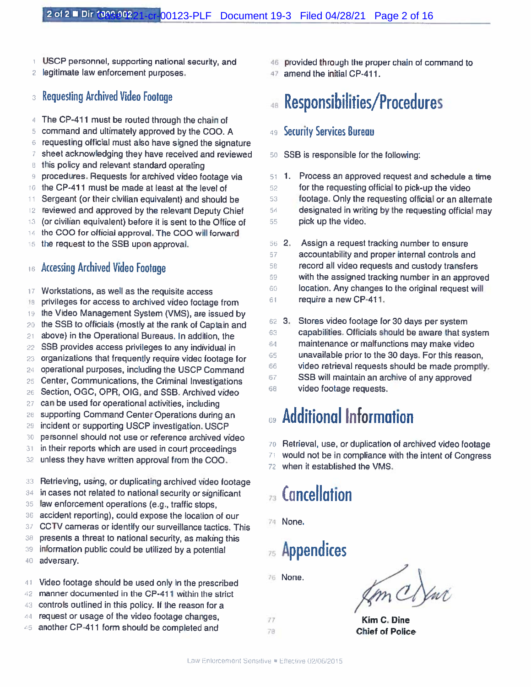- Ť. USCP personnel, supporting national security, and
- legitimate law enforcement purposes.  $\overline{c}$
- **Requesting Archived Video Footage** 3
- The CP-411 must be routed through the chain of  $\overline{4}$
- command and ultimately approved by the COO. A 5
- requesting official must also have signed the signature 6
- sheet acknowledging they have received and reviewed  $\overline{7}$
- this policy and relevant standard operating R.
- procedures. Requests for archived video footage via 9
- the CP-411 must be made at least at the level of 10
- Sergeant (or their civilian equivalent) and should be 11
- reviewed and approved by the relevant Deputy Chief  $12$
- (or civilian equivalent) before it is sent to the Office of 13
- the COO for official approval. The COO will forward 14
- the request to the SSB upon approval. 15

#### **Accessing Archived Video Footage** 16

- Workstations, as well as the requisite access 17
- privileges for access to archived video footage from 18
- the Video Management System (VMS), are issued by 19
- the SSB to officials (mostly at the rank of Captain and 20
- above) in the Operational Bureaus, In addition, the 21
- SSB provides access privileges to any individual in 22
- organizations that frequently require video footage for 23
- operational purposes, including the USCP Command 24 25 Center, Communications, the Criminal Investigations
- Section, OGC, OPR, OIG, and SSB, Archived video 26
- can be used for operational activities, including 27
- supporting Command Center Operations during an 28
- incident or supporting USCP investigation. USCP 29
- personnel should not use or reference archived video 30
- in their reports which are used in court proceedings  $31$
- unless they have written approval from the COO. 32
- Retrieving, using, or duplicating archived video footage 33
- in cases not related to national security or significant  $34$
- law enforcement operations (e.g., traffic stops, 35
- accident reporting), could expose the location of our 36
- CCTV cameras or identify our surveillance tactics. This 37
- presents a threat to national security, as making this 38
- information public could be utilized by a potential 39 adversary. 40
- 
- Video footage should be used only in the prescribed  $41$ manner documented in the CP-411 within the strict 42
- controls outlined in this policy. If the reason for a 43
- request or usage of the video footage changes, 44
- another CP-411 form should be completed and 45
- provided through the proper chain of command to 46
- amend the initial CP-411. 47

# Responsibilities/Procedures

#### **Security Services Bureau** 49

- SSB is responsible for the following: 50
- Process an approved request and schedule a time 51 1.
- for the requesting official to pick-up the video 52
- 53 footage. Only the requesting official or an alternate
- designated in writing by the requesting official may 54
- pick up the video. 55
- Assign a request tracking number to ensure 56 2. accountability and proper internal controls and 57 SB record all video requests and custody transfers with the assigned tracking number in an approved 59 location. Any changes to the original request will 60 require a new CP-411. 61
- Stores video footage for 30 days per system 62  $3.$ capabilities. Officials should be aware that system 63 maintenance or malfunctions may make video 64 unavailable prior to the 30 days. For this reason, 65 video retrieval requests should be made promptly. 66 SSB will maintain an archive of any approved 67
- video footage requests. 68

# **Additional Information**

- 70 Retrieval, use, or duplication of archived video footage
- would not be in compliance with the intent of Congress 71.
- 72 when it established the VMS.

# <sub>23</sub> Cancellation

74 None.

# <sub>75</sub> Appendices

- 76 None.
- 77 78



**Kim C. Dine Chief of Police**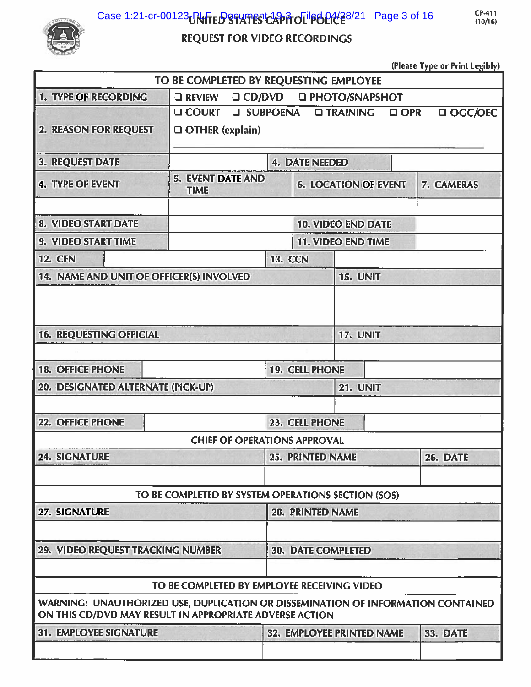

# REQUEST FOR VIDEO RECORDINGS

(Please Type or Print Legibly)

|                                                                                                                                             | TO BE COMPLETED BY REQUESTING EMPLOYEE                         |                 |                             |                                 |                 |
|---------------------------------------------------------------------------------------------------------------------------------------------|----------------------------------------------------------------|-----------------|-----------------------------|---------------------------------|-----------------|
| 1. TYPE OF RECORDING                                                                                                                        | $\Box$ CD/DVD<br><b>Q REVIEW</b><br>□ PHOTO/SNAPSHOT           |                 |                             |                                 |                 |
| 2. REASON FOR REQUEST                                                                                                                       | <b>Q SUBPOENA</b><br><b>Q COURT</b><br>□ OTHER (explain)       |                 |                             | <b>O TRAINING</b><br>$\Box$ OPR | $Q$ OGC/OEC     |
| 3. REQUEST DATE                                                                                                                             | <b>4. DATE NEEDED</b>                                          |                 |                             |                                 |                 |
| <b>4. TYPE OF EVENT</b>                                                                                                                     | <b>5. EVENT DATE AND</b><br><b>TIME</b>                        |                 | <b>6. LOCATION OF EVENT</b> | 7. CAMERAS                      |                 |
| 8. VIDEO START DATE                                                                                                                         |                                                                |                 | <b>10. VIDEO END DATE</b>   |                                 |                 |
| 9. VIDEO START TIME                                                                                                                         |                                                                |                 |                             | 11. VIDEO END TIME              |                 |
| <b>12. CFN</b>                                                                                                                              |                                                                | <b>13. CCN</b>  |                             |                                 |                 |
| 14. NAME AND UNIT OF OFFICER(S) INVOLVED                                                                                                    |                                                                |                 |                             | <b>15. UNIT</b>                 |                 |
| <b>16. REQUESTING OFFICIAL</b>                                                                                                              |                                                                | <b>17. UNIT</b> |                             |                                 |                 |
| <b>18. OFFICE PHONE</b>                                                                                                                     |                                                                |                 | 19. CELL PHONE              |                                 |                 |
| 20. DESIGNATED ALTERNATE (PICK-UP)                                                                                                          |                                                                |                 |                             | <b>21. UNIT</b>                 |                 |
|                                                                                                                                             |                                                                |                 |                             |                                 |                 |
| 22. OFFICE PHONE                                                                                                                            | 23. CELL PHONE                                                 |                 |                             |                                 |                 |
|                                                                                                                                             | <b>CHIEF OF OPERATIONS APPROVAL</b>                            |                 |                             |                                 |                 |
| <b>24. SIGNATURE</b><br>25. PRINTED NAME                                                                                                    |                                                                |                 | <b>26. DATE</b>             |                                 |                 |
|                                                                                                                                             |                                                                |                 |                             |                                 |                 |
|                                                                                                                                             | TO BE COMPLETED BY SYSTEM OPERATIONS SECTION (SOS)             |                 |                             |                                 |                 |
| 27. SIGNATURE<br>28. PRINTED NAME                                                                                                           |                                                                |                 |                             |                                 |                 |
|                                                                                                                                             |                                                                |                 |                             |                                 |                 |
|                                                                                                                                             | 29. VIDEO REQUEST TRACKING NUMBER<br><b>30. DATE COMPLETED</b> |                 |                             |                                 |                 |
|                                                                                                                                             | TO BE COMPLETED BY EMPLOYEE RECEIVING VIDEO                    |                 |                             |                                 |                 |
| WARNING: UNAUTHORIZED USE, DUPLICATION OR DISSEMINATION OF INFORMATION CONTAINED<br>ON THIS CD/DVD MAY RESULT IN APPROPRIATE ADVERSE ACTION |                                                                |                 |                             |                                 |                 |
| <b>31. EMPLOYEE SIGNATURE</b>                                                                                                               |                                                                |                 |                             | 32. EMPLOYEE PRINTED NAME       | <b>33. DATE</b> |
|                                                                                                                                             |                                                                |                 |                             |                                 |                 |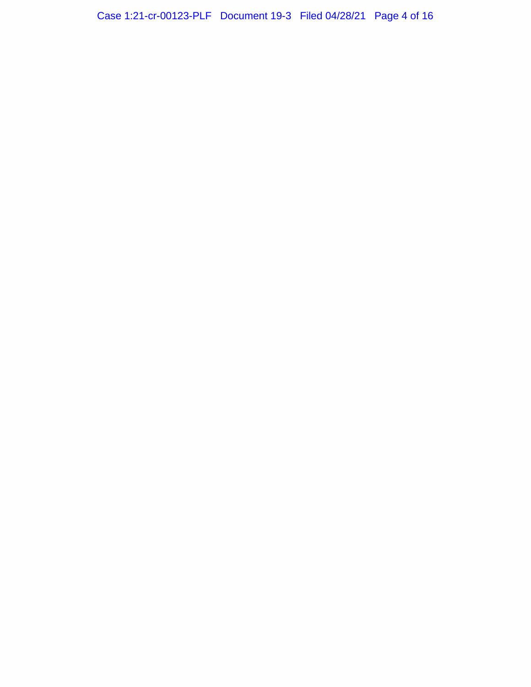Case 1:21-cr-00123-PLF Document 19-3 Filed 04/28/21 Page 4 of 16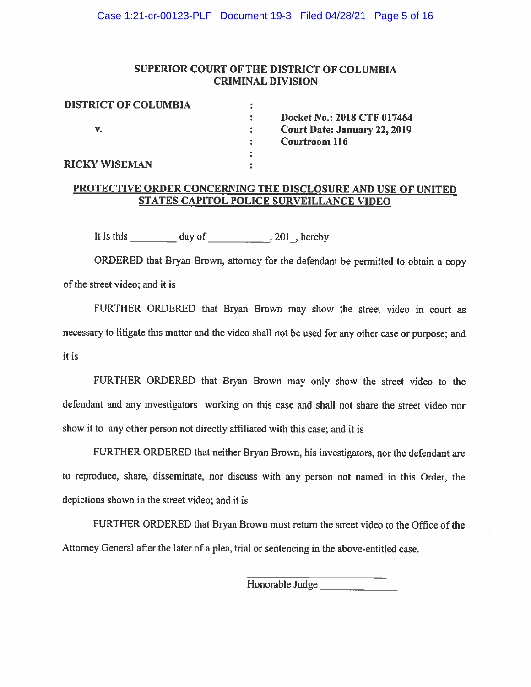# **SUPERIOR COURT OF THE DISTRICT OF COLUMBIA CRIMINAL DIVISION**

| <b>DISTRICT OF COLUMBIA</b> |                              |
|-----------------------------|------------------------------|
|                             | Docket No.: 2018 CTF 017464  |
| v.                          | Court Date: January 22, 2019 |
|                             | Courtroom 116                |
|                             |                              |
| <b>RICKY WISEMAN</b>        |                              |
|                             |                              |

# PROTECTIVE ORDER CONCERNING THE DISCLOSURE AND USE OF UNITED **STATES CAPITOL POLICE SURVEILLANCE VIDEO**

It is this day of 201, hereby

ORDERED that Bryan Brown, attorney for the defendant be permitted to obtain a copy of the street video; and it is

FURTHER ORDERED that Bryan Brown may show the street video in court as necessary to litigate this matter and the video shall not be used for any other case or purpose; and it is

FURTHER ORDERED that Bryan Brown may only show the street video to the defendant and any investigators working on this case and shall not share the street video nor show it to any other person not directly affiliated with this case; and it is

FURTHER ORDERED that neither Bryan Brown, his investigators, nor the defendant are to reproduce, share, disseminate, nor discuss with any person not named in this Order, the depictions shown in the street video; and it is

FURTHER ORDERED that Bryan Brown must return the street video to the Office of the Attorney General after the later of a plea, trial or sentencing in the above-entitled case.

Honorable Judge **Example 19**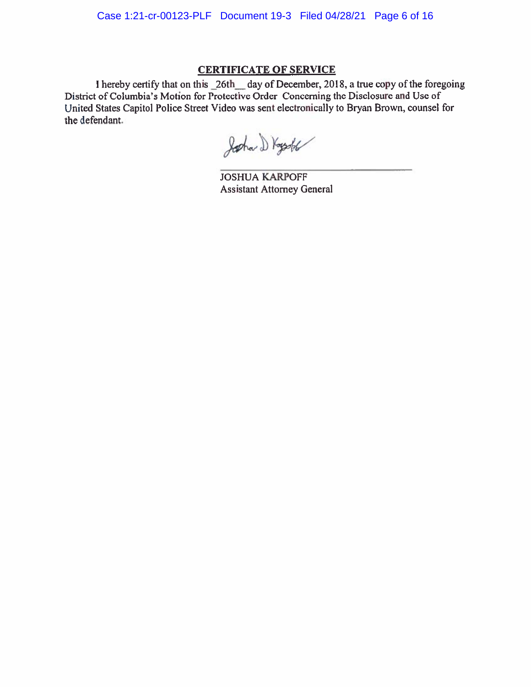# **CERTIFICATE OF SERVICE**

I hereby certify that on this \_26th\_ day of December, 2018, a true copy of the foregoing District of Columbia's Motion for Protective Order Concerning the Disclosure and Use of United States Capitol Police Street Video was sent electronically to Bryan Brown, counsel for the defendant.

Josha D Kysole

**JOSHUA KARPOFF Assistant Attorney General**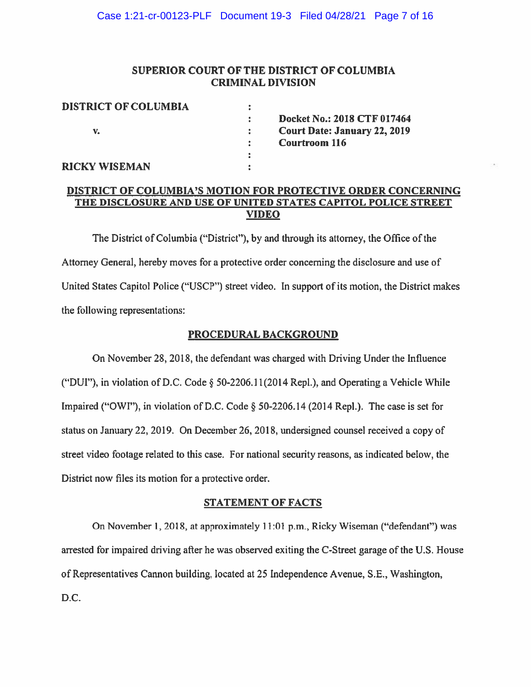# SUPERIOR COURT OF THE DISTRICT OF COLUMBIA **CRIMINAL DIVISION**

| <b>DISTRICT OF COLUMBIA</b> |                                     |
|-----------------------------|-------------------------------------|
|                             | Docket No.: 2018 CTF 017464         |
|                             | <b>Court Date: January 22, 2019</b> |
|                             | Courtroom 116                       |
|                             |                                     |
| <b>RICKY WISEMAN</b>        |                                     |

# DISTRICT OF COLUMBIA'S MOTION FOR PROTECTIVE ORDER CONCERNING THE DISCLOSURE AND USE OF UNITED STATES CAPITOL POLICE STREET **VIDEO**

The District of Columbia ("District"), by and through its attorney, the Office of the Attorney General, hereby moves for a protective order concerning the disclosure and use of United States Capitol Police ("USCP") street video. In support of its motion, the District makes the following representations:

# PROCEDURAL BACKGROUND

On November 28, 2018, the defendant was charged with Driving Under the Influence ("DUI"), in violation of D.C. Code § 50-2206.11(2014 Repl.), and Operating a Vehicle While Impaired ("OWI"), in violation of D.C. Code § 50-2206.14 (2014 Repl.). The case is set for status on January 22, 2019. On December 26, 2018, undersigned counsel received a copy of street video footage related to this case. For national security reasons, as indicated below, the District now files its motion for a protective order.

# **STATEMENT OF FACTS**

On November 1, 2018, at approximately 11:01 p.m., Ricky Wiseman ("defendant") was arrested for impaired driving after he was observed exiting the C-Street garage of the U.S. House of Representatives Cannon building, located at 25 Independence Avenue, S.E., Washington, D.C.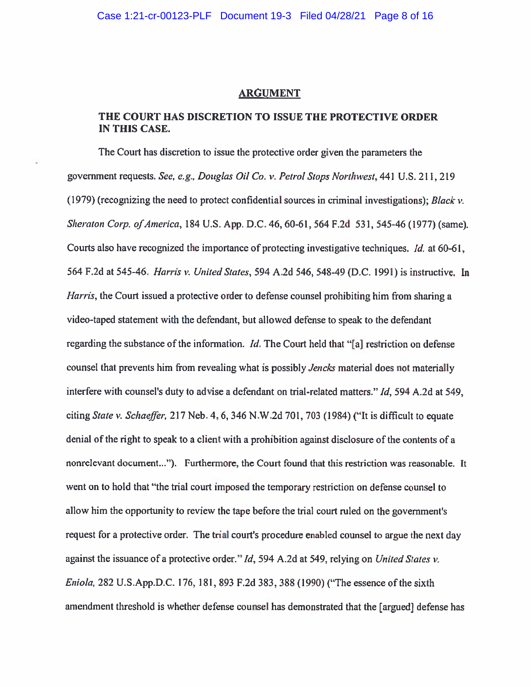#### **ARGUMENT**

# THE COURT HAS DISCRETION TO ISSUE THE PROTECTIVE ORDER IN THIS CASE.

The Court has discretion to issue the protective order given the parameters the government requests. See, e.g., Douglas Oil Co. v. Petrol Stops Northwest, 441 U.S. 211, 219 (1979) (recognizing the need to protect confidential sources in criminal investigations); Black  $\nu$ . Sheraton Corp. of America, 184 U.S. App. D.C. 46, 60-61, 564 F.2d 531, 545-46 (1977) (same). Courts also have recognized the importance of protecting investigative techniques. Id. at 60-61, 564 F.2d at 545-46. Harris v. United States, 594 A.2d 546, 548-49 (D.C. 1991) is instructive. In *Harris*, the Court issued a protective order to defense counsel prohibiting him from sharing a video-taped statement with the defendant, but allowed defense to speak to the defendant regarding the substance of the information. *Id*. The Court held that "[a] restriction on defense counsel that prevents him from revealing what is possibly *Jencks* material does not materially interfere with counsel's duty to advise a defendant on trial-related matters." Id, 594 A.2d at 549, citing State v. Schaeffer, 217 Neb. 4, 6, 346 N.W.2d 701, 703 (1984) ("It is difficult to equate denial of the right to speak to a client with a prohibition against disclosure of the contents of a nonrelevant document..."). Furthermore, the Court found that this restriction was reasonable. It went on to hold that "the trial court imposed the temporary restriction on defense counsel to allow him the opportunity to review the tape before the trial court ruled on the government's request for a protective order. The trial court's procedure enabled counsel to argue the next day against the issuance of a protective order." Id, 594 A.2d at 549, relying on United States  $v_i$ *Eniola*, 282 U.S.App.D.C. 176, 181, 893 F.2d 383, 388 (1990) ("The essence of the sixth amendment threshold is whether defense counsel has demonstrated that the [argued] defense has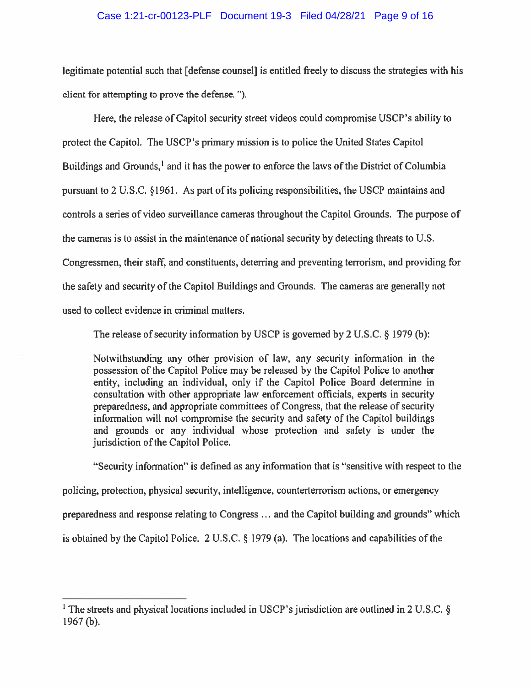# Case 1:21-cr-00123-PLF Document 19-3 Filed 04/28/21 Page 9 of 16

legitimate potential such that [defense counsel] is entitled freely to discuss the strategies with his client for attempting to prove the defense.").

Here, the release of Capitol security street videos could compromise USCP's ability to protect the Capitol. The USCP's primary mission is to police the United States Capitol Buildings and Grounds,<sup>1</sup> and it has the power to enforce the laws of the District of Columbia pursuant to 2 U.S.C. §1961. As part of its policing responsibilities, the USCP maintains and controls a series of video surveillance cameras throughout the Capitol Grounds. The purpose of the cameras is to assist in the maintenance of national security by detecting threats to U.S. Congressmen, their staff, and constituents, deterring and preventing terrorism, and providing for the safety and security of the Capitol Buildings and Grounds. The cameras are generally not used to collect evidence in criminal matters.

The release of security information by USCP is governed by  $2$  U.S.C.  $\S$  1979 (b):

Notwithstanding any other provision of law, any security information in the possession of the Capitol Police may be released by the Capitol Police to another entity, including an individual, only if the Capitol Police Board determine in consultation with other appropriate law enforcement officials, experts in security preparedness, and appropriate committees of Congress, that the release of security information will not compromise the security and safety of the Capitol buildings and grounds or any individual whose protection and safety is under the jurisdiction of the Capitol Police.

"Security information" is defined as any information that is "sensitive with respect to the policing, protection, physical security, intelligence, counterterrorism actions, or emergency preparedness and response relating to Congress ... and the Capitol building and grounds" which is obtained by the Capitol Police.  $2 \text{ U.S.C.}$  § 1979 (a). The locations and capabilities of the

<sup>&</sup>lt;sup>1</sup> The streets and physical locations included in USCP's jurisdiction are outlined in 2 U.S.C.  $\S$  $1967(b)$ .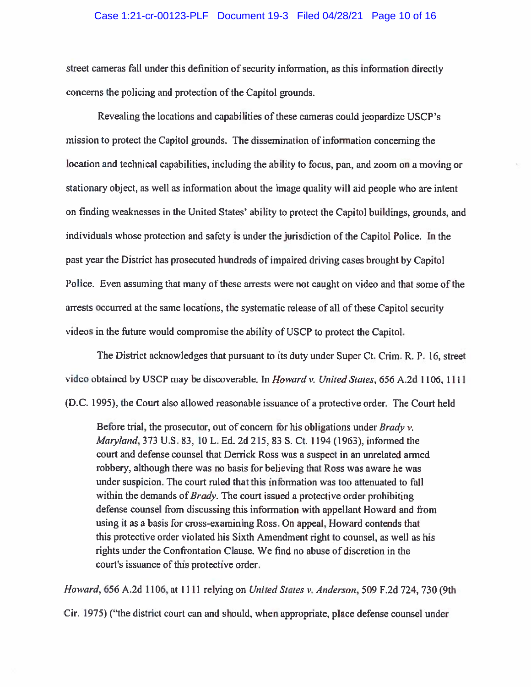## Case 1:21-cr-00123-PLF Document 19-3 Filed 04/28/21 Page 10 of 16

street cameras fall under this definition of security information, as this information directly concerns the policing and protection of the Capitol grounds.

Revealing the locations and capabilities of these cameras could ieopardize USCP's mission to protect the Capitol grounds. The dissemination of information concerning the location and technical capabilities, including the ability to focus, pan, and zoom on a moving or stationary object, as well as information about the image quality will aid people who are intent on finding weaknesses in the United States' ability to protect the Capitol buildings, grounds, and individuals whose protection and safety is under the jurisdiction of the Capitol Police. In the past year the District has prosecuted hundreds of impaired driving cases brought by Capitol Police. Even assuming that many of these arrests were not caught on video and that some of the arrests occurred at the same locations, the systematic release of all of these Capitol security videos in the future would compromise the ability of USCP to protect the Capitol.

The District acknowledges that pursuant to its duty under Super Ct. Crim. R. P. 16, street video obtained by USCP may be discoverable. In Howard v. United States, 656 A.2d 1106, 1111 (D.C. 1995), the Court also allowed reasonable issuance of a protective order. The Court held

Before trial, the prosecutor, out of concern for his obligations under *Brady v*. Maryland, 373 U.S. 83, 10 L. Ed. 2d 215, 83 S. Ct. 1194 (1963), informed the court and defense counsel that Derrick Ross was a suspect in an unrelated armed robbery, although there was no basis for believing that Ross was aware he was under suspicion. The court ruled that this information was too attenuated to fall within the demands of *Brady*. The court issued a protective order prohibiting defense counsel from discussing this information with appellant Howard and from using it as a basis for cross-examining Ross. On appeal, Howard contends that this protective order violated his Sixth Amendment right to counsel, as well as his rights under the Confrontation Clause. We find no abuse of discretion in the court's issuance of this protective order.

Howard, 656 A.2d 1106, at 1111 relying on United States v. Anderson, 509 F.2d 724, 730 (9th Cir. 1975) ("the district court can and should, when appropriate, place defense counsel under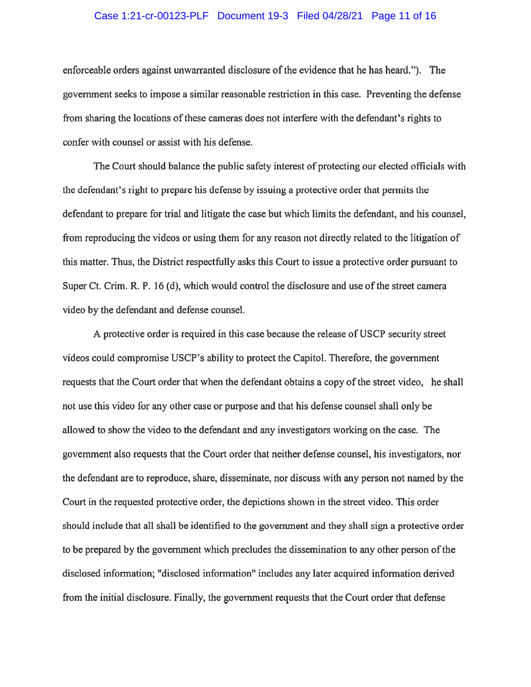# Case 1:21-cr-00123-PLF Document 19-3 Filed 04/28/21 Page 11 of 16

enforceable orders against unwarranted disclosure of the evidence that he has heard."). The government seeks to impose a similar reasonable restriction in this case. Preventing the defense from sharing the locations of these cameras does not interfere with the defendant's rights to confer with counsel or assist with his defense.

The Court should balance the public safety interest of protecting our elected officials with the defendant's right to prepare his defense by issuing a protective order that permits the defendant to prepare for trial and litigate the case but which limits the defendant, and his counsel, from reproducing the videos or using them for any reason not directly related to the litigation of this matter. Thus, the District respectfully asks this Court to issue a protective order pursuant to Super Ct. Crim. R. P. 16 (d), which would control the disclosure and use of the street camera video by the defendant and defense counsel.

A protective order is required in this case because the release of USCP security street videos could compromise USCP's ability to protect the Capitol. Therefore, the government requests that the Court order that when the defendant obtains a copy of the street video, he shall not use this video for any other case or purpose and that his defense counsel shall only be allowed to show the video to the defendant and any investigators working on the case. The government also requests that the Court order that neither defense counsel, his investigators, nor the defendant are to reproduce, share, disseminate, nor discuss with any person not named by the Court in the requested protective order, the depictions shown in the street video. This order should include that all shall be identified to the government and they shall sign a protective order to be prepared by the government which precludes the dissemination to any other person of the disclosed information; "disclosed information" includes any later acquired information derived from the initial disclosure. Finally, the government requests that the Court order that defense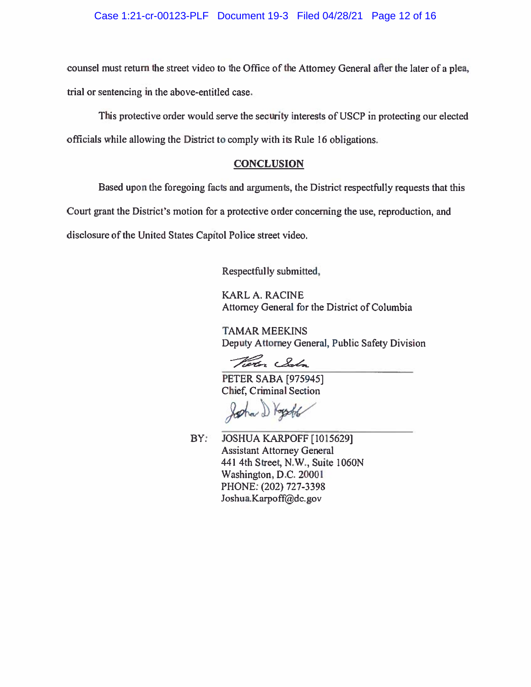counsel must return the street video to the Office of the Attorney General after the later of a plea, trial or sentencing in the above-entitled case.

This protective order would serve the security interests of USCP in protecting our elected

officials while allowing the District to comply with its Rule 16 obligations.

# **CONCLUSION**

Based upon the foregoing facts and arguments, the District respectfully requests that this

Court grant the District's motion for a protective order concerning the use, reproduction, and

disclosure of the United States Capitol Police street video.

Respectfully submitted,

**KARL A. RACINE** Attorney General for the District of Columbia

**TAMAR MEEKINS** Deputy Attorney General, Public Safety Division

Heren Sala

**PETER SABA [975945]** Chief, Criminal Section

Josha D Koystof

JOSHUA KARPOFF [1015629] BY: **Assistant Attorney General** 441 4th Street, N.W., Suite 1060N Washington, D.C. 20001 PHONE: (202) 727-3398 Joshua.Karpoff@dc.gov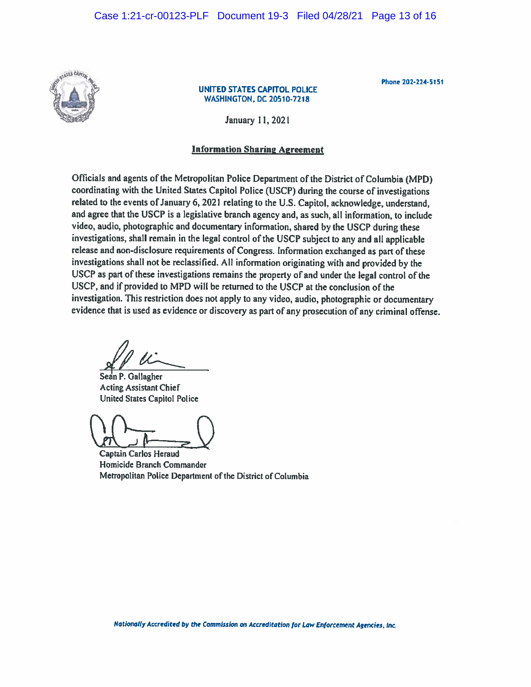

#### **UNITED STATES CAPITOL POLICE WASHINGTON, DC 20510-7218**

Phone 202-224-5151

**January 11, 2021** 

#### **Information Sharing Agreement**

Officials and agents of the Metropolitan Police Department of the District of Columbia (MPD) coordinating with the United States Capitol Police (USCP) during the course of investigations related to the events of January 6, 2021 relating to the U.S. Capitol, acknowledge, understand, and agree that the USCP is a legislative branch agency and, as such, all information, to include video, audio, photographic and documentary information, shared by the USCP during these investigations, shall remain in the legal control of the USCP subject to any and all applicable release and non-disclosure requirements of Congress. Information exchanged as part of these investigations shall not be reclassified. All information originating with and provided by the USCP as part of these investigations remains the property of and under the legal control of the USCP, and if provided to MPD will be returned to the USCP at the conclusion of the investigation. This restriction does not apply to any video, audio, photographic or documentary evidence that is used as evidence or discovery as part of any prosecution of any criminal offense.

Sean P. Gallagher **Acting Assistant Chief** United States Capitol Police

**Captain Carlos Heraud** Homicide Branch Commander Metropolitan Police Department of the District of Columbia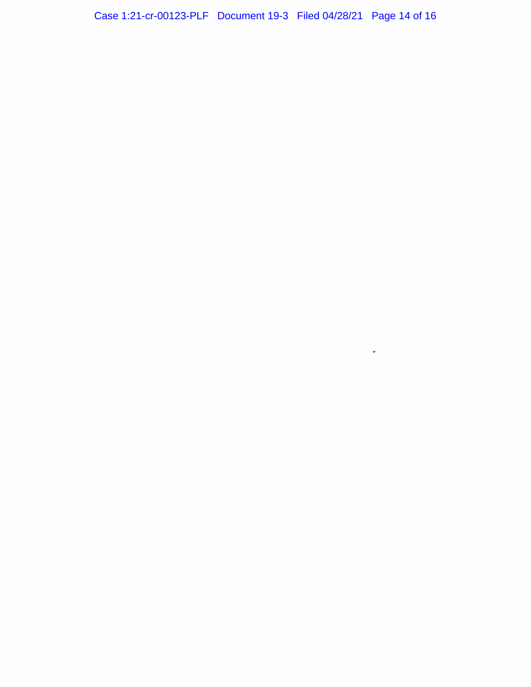Case 1:21-cr-00123-PLF Document 19-3 Filed 04/28/21 Page 14 of 16

 $\sim$